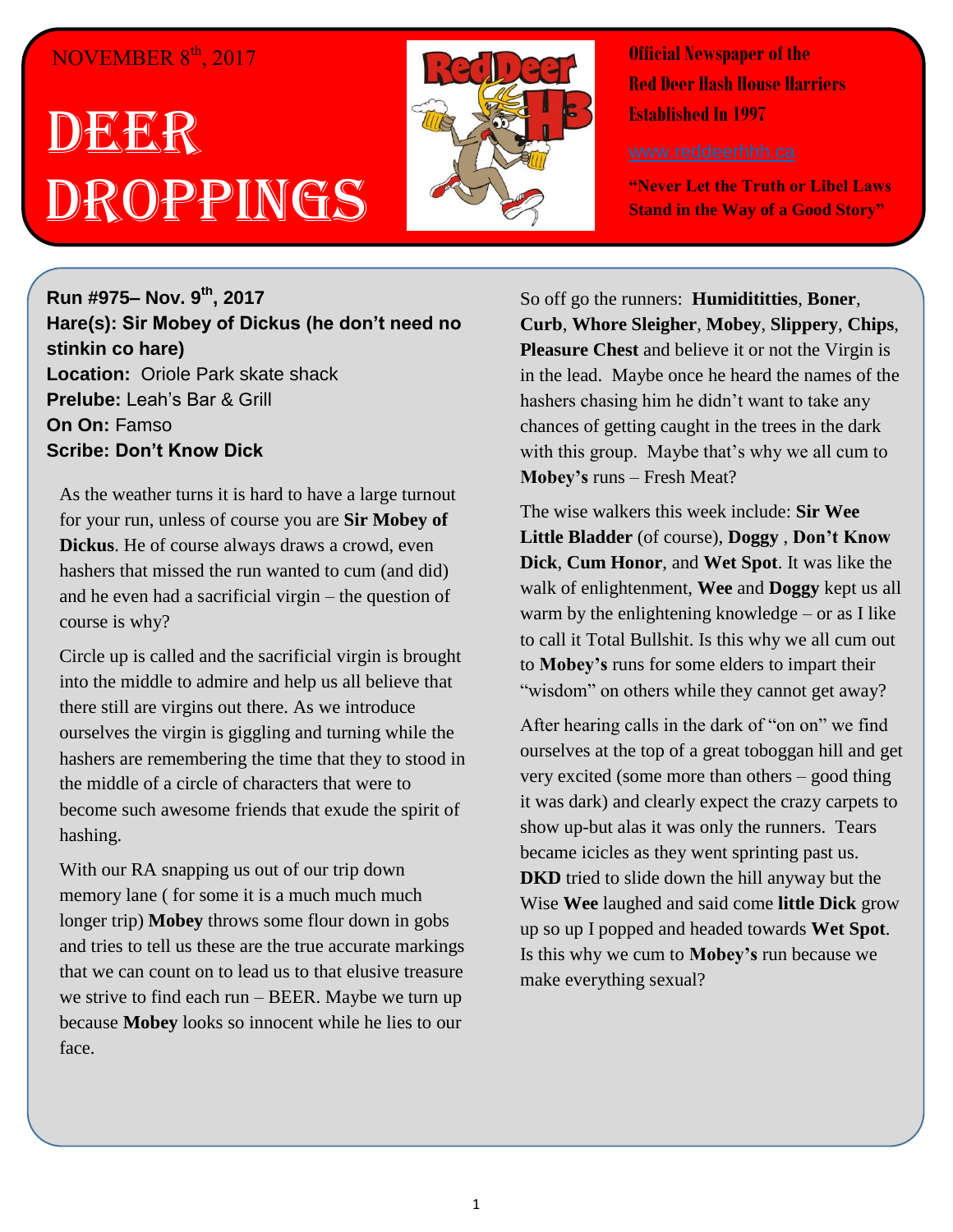## NOVEMBER  $8^{\text{th}}$ , 2017

## DEER Droppings



**Official Newspaper of the Red Deer Hash House Harriers Established In 1997** 

**"Never Let the Truth or Libel Laws Stand in the Way of a Good Story"**

**Run #975– Nov. 9 th, 2017 Hare(s): Sir Mobey of Dickus (he don't need no stinkin co hare) Location:** Oriole Park skate shack **Prelube:** Leah's Bar & Grill **On On:** Famso **Scribe: Don't Know Dick**

As the weather turns it is hard to have a large turnout for your run, unless of course you are **Sir Mobey of Dickus**. He of course always draws a crowd, even hashers that missed the run wanted to cum (and did) and he even had a sacrificial virgin – the question of course is why?

Circle up is called and the sacrificial virgin is brought into the middle to admire and help us all believe that there still are virgins out there. As we introduce ourselves the virgin is giggling and turning while the hashers are remembering the time that they to stood in the middle of a circle of characters that were to become such awesome friends that exude the spirit of hashing.

With our RA snapping us out of our trip down memory lane ( for some it is a much much much longer trip) **Mobey** throws some flour down in gobs and tries to tell us these are the true accurate markings that we can count on to lead us to that elusive treasure we strive to find each run – BEER. Maybe we turn up because **Mobey** looks so innocent while he lies to our face.

So off go the runners: **Humidititties**, **Boner**, **Curb**, **Whore Sleigher**, **Mobey**, **Slippery**, **Chips**, **Pleasure Chest** and believe it or not the Virgin is in the lead. Maybe once he heard the names of the hashers chasing him he didn't want to take any chances of getting caught in the trees in the dark with this group. Maybe that's why we all cum to **Mobey's** runs – Fresh Meat?

The wise walkers this week include: **Sir Wee Little Bladder** (of course), **Doggy** , **Don't Know Dick**, **Cum Honor**, and **Wet Spot**. It was like the walk of enlightenment, **Wee** and **Doggy** kept us all warm by the enlightening knowledge – or as I like to call it Total Bullshit. Is this why we all cum out to **Mobey's** runs for some elders to impart their "wisdom" on others while they cannot get away?

After hearing calls in the dark of "on on" we find ourselves at the top of a great toboggan hill and get very excited (some more than others – good thing it was dark) and clearly expect the crazy carpets to show up-but alas it was only the runners. Tears became icicles as they went sprinting past us. **DKD** tried to slide down the hill anyway but the Wise **Wee** laughed and said come **little Dick** grow up so up I popped and headed towards **Wet Spot**. Is this why we cum to **Mobey's** run because we make everything sexual?